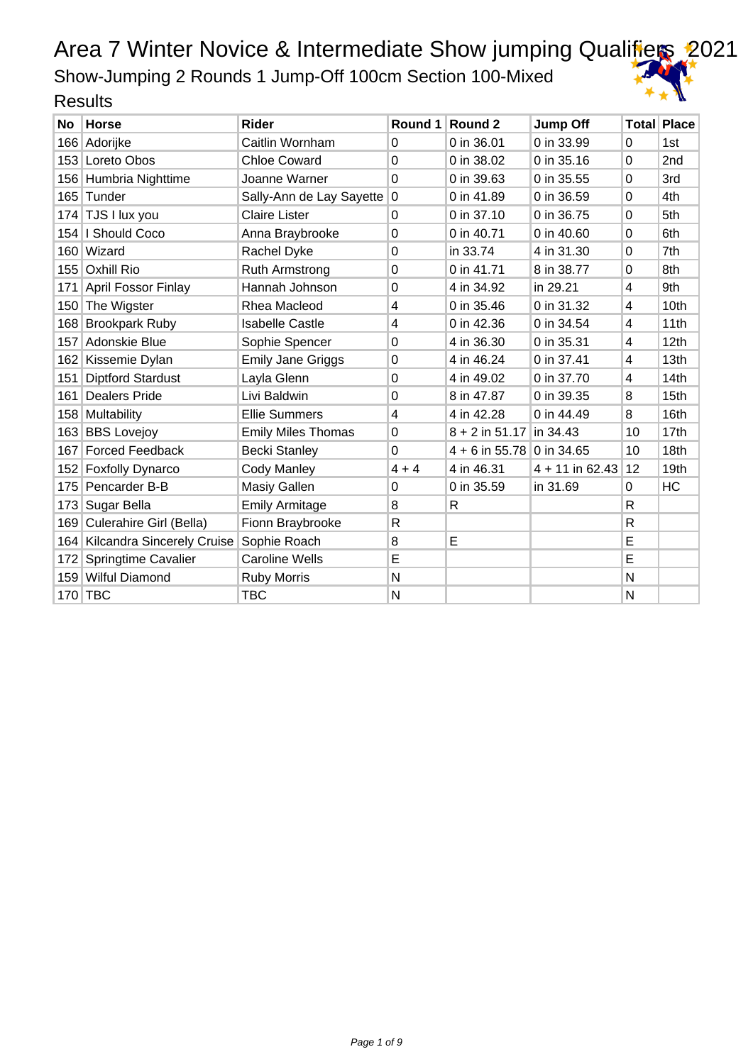Show-Jumping 2 Rounds 1 Jump-Off 100cm Section 100-Mixed

| No  | <b>Horse</b>                   | <b>Rider</b>              | Round 1        | Round 2                     | <b>Jump Off</b>   |              | <b>Total Place</b> |
|-----|--------------------------------|---------------------------|----------------|-----------------------------|-------------------|--------------|--------------------|
| 166 | Adorijke                       | Caitlin Wornham           | $\Omega$       | 0 in 36.01                  | 0 in 33.99        | 0            | 1st                |
|     | 153 Loreto Obos                | <b>Chloe Coward</b>       | $\Omega$       | 0 in 38.02                  | 0 in 35.16        | $\Omega$     | 2nd                |
|     | 156 Humbria Nighttime          | Joanne Warner             | $\Omega$       | 0 in 39.63                  | 0 in 35.55        | $\Omega$     | 3rd                |
|     | 165 Tunder                     | Sally-Ann de Lay Sayette  | 0              | 0 in 41.89                  | 0 in 36.59        | 0            | 4th                |
|     | 174 TJS I lux you              | <b>Claire Lister</b>      | $\Omega$       | 0 in 37.10                  | 0 in 36.75        | 0            | 5th                |
|     | 154   I Should Coco            | Anna Braybrooke           | $\overline{0}$ | 0 in 40.71                  | 0 in 40.60        | 0            | 6th                |
|     | 160 Wizard                     | Rachel Dyke               | $\Omega$       | in 33.74                    | 4 in 31.30        | 0            | 7th                |
| 155 | <b>Oxhill Rio</b>              | <b>Ruth Armstrong</b>     | 0              | 0 in 41.71                  | 8 in 38.77        | 0            | 8th                |
| 171 | April Fossor Finlay            | Hannah Johnson            | 0              | 4 in 34.92                  | in 29.21          | 4            | 9th                |
|     | 150 The Wigster                | Rhea Macleod              | 4              | 0 in 35.46                  | 0 in 31.32        | 4            | 10th               |
|     | 168 Brookpark Ruby             | <b>Isabelle Castle</b>    | 4              | 0 in 42.36                  | 0 in 34.54        | 4            | 11th               |
| 157 | Adonskie Blue                  | Sophie Spencer            | $\Omega$       | 4 in 36.30                  | 0 in 35.31        | 4            | 12th               |
| 162 | Kissemie Dylan                 | <b>Emily Jane Griggs</b>  | $\Omega$       | 4 in 46.24                  | 0 in 37.41        | 4            | 13th               |
| 151 | <b>Diptford Stardust</b>       | Layla Glenn               | $\Omega$       | 4 in 49.02                  | 0 in 37.70        | 4            | 14th               |
| 161 | <b>Dealers Pride</b>           | Livi Baldwin              | $\Omega$       | 8 in 47.87                  | 0 in 39.35        | 8            | 15 <sub>th</sub>   |
|     | 158 Multability                | <b>Ellie Summers</b>      | 4              | 4 in 42.28                  | 0 in 44.49        | 8            | 16th               |
|     | 163 BBS Lovejoy                | <b>Emily Miles Thomas</b> | $\Omega$       | $8 + 2$ in 51.17            | in 34.43          | 10           | 17 <sub>th</sub>   |
| 167 | <b>Forced Feedback</b>         | <b>Becki Stanley</b>      | $\Omega$       | $4 + 6$ in 55.78 0 in 34.65 |                   | 10           | 18th               |
|     | 152 Foxfolly Dynarco           | <b>Cody Manley</b>        | $4 + 4$        | 4 in 46.31                  | $4 + 11$ in 62.43 | 12           | 19th               |
|     | 175 Pencarder B-B              | Masiy Gallen              | $\Omega$       | 0 in 35.59                  | in 31.69          | 0            | <b>HC</b>          |
| 173 | Sugar Bella                    | <b>Emily Armitage</b>     | 8              | R                           |                   | R            |                    |
| 169 | Culerahire Girl (Bella)        | Fionn Braybrooke          | R              |                             |                   | $\mathsf{R}$ |                    |
|     | 164 Kilcandra Sincerely Cruise | Sophie Roach              | 8              | E                           |                   | E            |                    |
| 172 | Springtime Cavalier            | <b>Caroline Wells</b>     | E              |                             |                   | E            |                    |
|     | 159 Wilful Diamond             | <b>Ruby Morris</b>        | $\mathsf{N}$   |                             |                   | N            |                    |
|     | 170 TBC                        | <b>TBC</b>                | N              |                             |                   | N            |                    |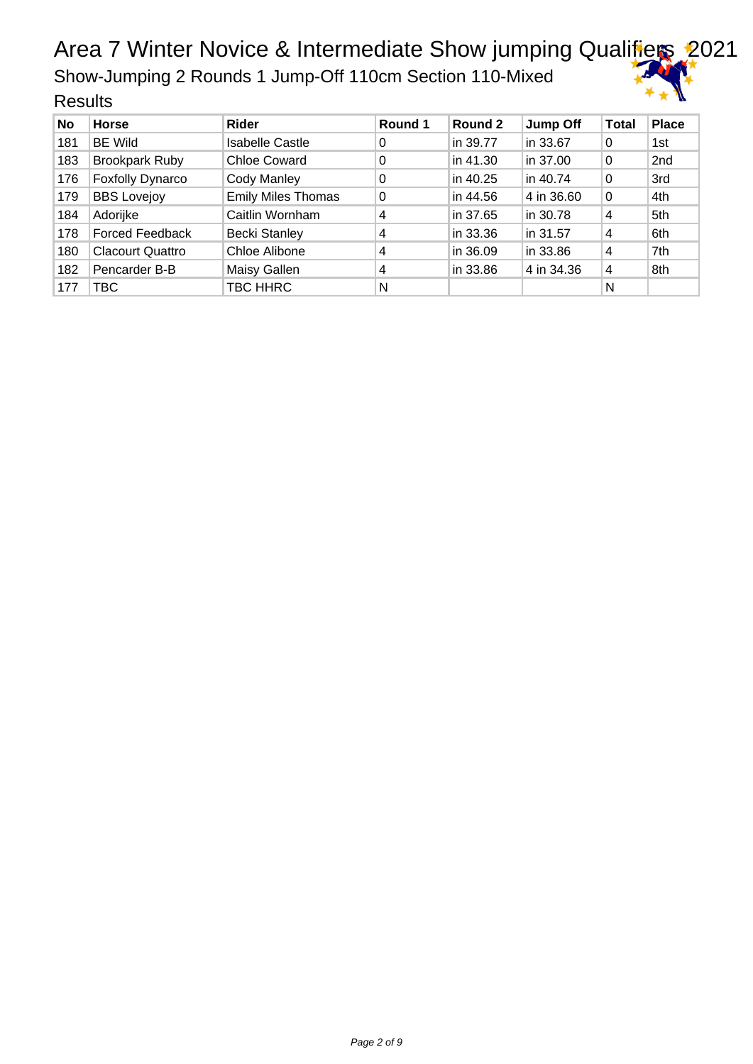Show-Jumping 2 Rounds 1 Jump-Off 110cm Section 110-Mixed



| <b>Results</b> |
|----------------|
|----------------|

| No  | <b>Horse</b>            | <b>Rider</b>              | Round 1 | Round 2  | <b>Jump Off</b> | <b>Total</b> | <b>Place</b> |
|-----|-------------------------|---------------------------|---------|----------|-----------------|--------------|--------------|
| 181 | <b>BE Wild</b>          | <b>Isabelle Castle</b>    | 0       | in 39.77 | in 33.67        | 0            | 1st          |
| 183 | <b>Brookpark Ruby</b>   | Chloe Coward              | 0       | in 41.30 | in 37.00        | 0            | 2nd          |
| 176 | <b>Foxfolly Dynarco</b> | Cody Manley               | 0       | in 40.25 | in 40.74        | 0            | 3rd          |
| 179 | <b>BBS Lovejoy</b>      | <b>Emily Miles Thomas</b> | 0       | in 44.56 | 4 in 36.60      | 0            | 4th          |
| 184 | Adorijke                | Caitlin Wornham           | 4       | in 37.65 | in 30.78        | 4            | 5th          |
| 178 | <b>Forced Feedback</b>  | <b>Becki Stanley</b>      | 4       | in 33.36 | in 31.57        | 4            | 6th          |
| 180 | <b>Clacourt Quattro</b> | Chloe Alibone             | 4       | in 36.09 | in 33.86        | 4            | 7th          |
| 182 | Pencarder B-B           | Maisy Gallen              | 4       | in 33.86 | 4 in 34.36      | 4            | 8th          |
| 177 | TBC.                    | TBC HHRC                  | N       |          |                 | N            |              |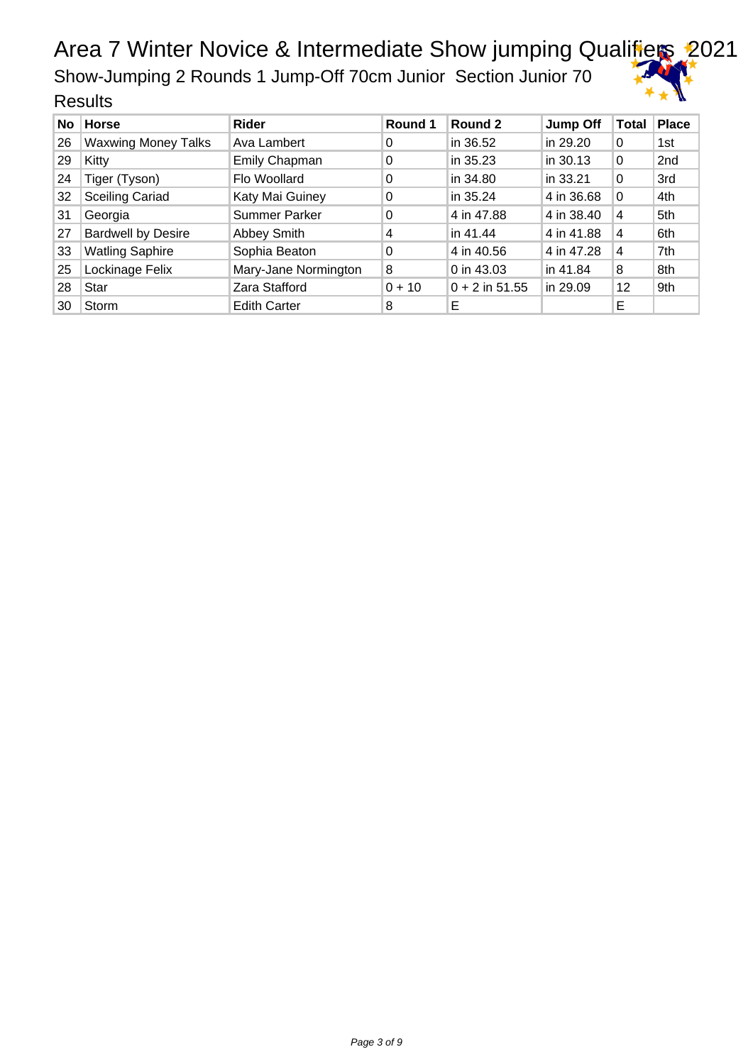Show-Jumping 2 Rounds 1 Jump-Off 70cm Junior Section Junior 70

| No | <b>Horse</b>               | Rider                | Round 1  | Round 2          | Jump Off   | ∣Total         | <b>Place</b>    |
|----|----------------------------|----------------------|----------|------------------|------------|----------------|-----------------|
| 26 | <b>Waxwing Money Talks</b> | Ava Lambert          | 0        | in 36.52         | in 29.20   | 0              | 1st             |
| 29 | Kitty                      | Emily Chapman        | 0        | in 35.23         | in 30.13   | 0              | 2 <sub>nd</sub> |
| 24 | Tiger (Tyson)              | Flo Woollard         | 0        | in 34.80         | in 33.21   | $\Omega$       | 3rd             |
| 32 | <b>Sceiling Cariad</b>     | Katy Mai Guiney      | 0        | in 35.24         | 4 in 36.68 | $\overline{0}$ | 4th             |
| 31 | Georgia                    | <b>Summer Parker</b> | 0        | 4 in 47.88       | 4 in 38.40 | 4              | 5th             |
| 27 | <b>Bardwell by Desire</b>  | Abbey Smith          | 4        | in 41.44         | 4 in 41.88 | $\overline{4}$ | 6th             |
| 33 | <b>Watling Saphire</b>     | Sophia Beaton        | 0        | 4 in 40.56       | 4 in 47.28 | $\overline{4}$ | 7th             |
| 25 | Lockinage Felix            | Mary-Jane Normington | 8        | 0 in 43.03       | in 41.84   | 8              | 8th             |
| 28 | Star                       | Zara Stafford        | $0 + 10$ | $0 + 2$ in 51.55 | in 29.09   | 12             | 9th             |
| 30 | Storm                      | <b>Edith Carter</b>  | 8        | E                |            | E              |                 |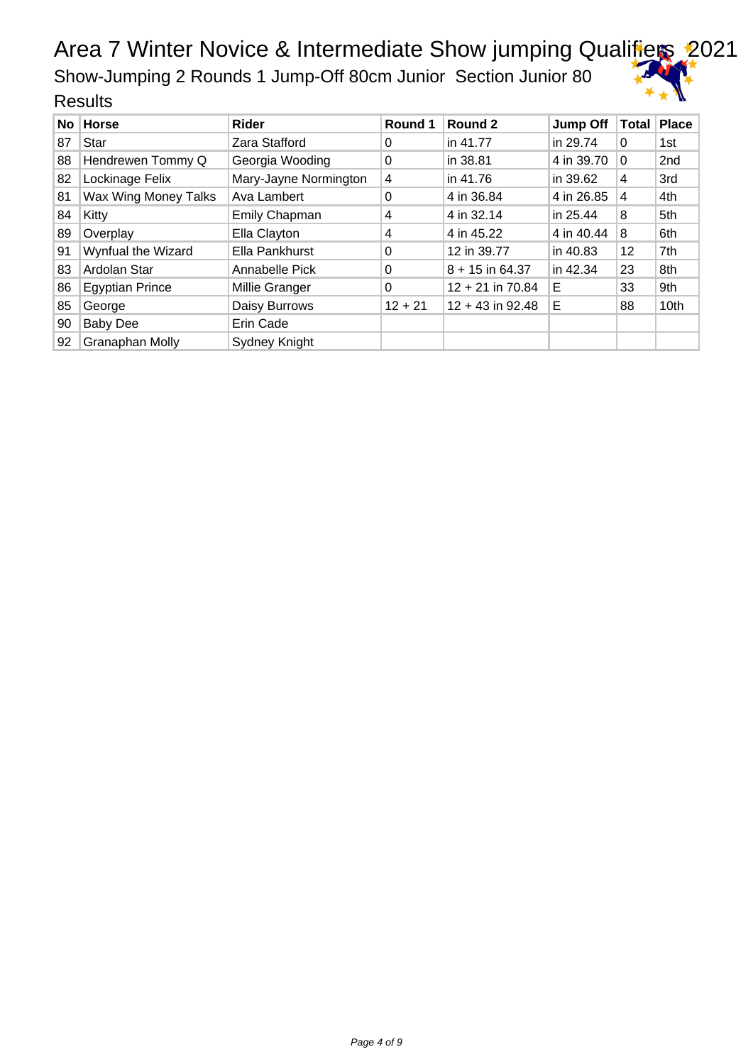Show-Jumping 2 Rounds 1 Jump-Off 80cm Junior Section Junior 80

|    | No Horse               | Rider                 | Round 1   | Round 2            | <b>Jump Off</b> | Total    | Place |
|----|------------------------|-----------------------|-----------|--------------------|-----------------|----------|-------|
| 87 | Star                   | Zara Stafford         | 0         | in 41.77           | in 29.74        | $\Omega$ | 1st   |
| 88 | Hendrewen Tommy Q      | Georgia Wooding       | 0         | in 38.81           | 4 in 39.70      | 0        | 2nd   |
| 82 | Lockinage Felix        | Mary-Jayne Normington | 4         | in 41.76           | in 39.62        | 4        | 3rd   |
| 81 | Wax Wing Money Talks   | Ava Lambert           | 0         | 4 in 36.84         | 4 in 26.85      | 4        | 4th   |
| 84 | Kitty                  | <b>Emily Chapman</b>  | 4         | 4 in 32.14         | in 25.44        | 8        | 5th   |
| 89 | Overplay               | Ella Clayton          | 4         | 4 in 45.22         | 4 in 40.44      | 8        | 6th   |
| 91 | Wynfual the Wizard     | Ella Pankhurst        | 0         | 12 in 39.77        | in 40.83        | 12       | 7th   |
| 83 | Ardolan Star           | Annabelle Pick        | $\Omega$  | $8 + 15$ in 64.37  | in 42.34        | 23       | 8th   |
| 86 | <b>Egyptian Prince</b> | Millie Granger        | $\Omega$  | $12 + 21$ in 70.84 | Е               | 33       | 9th   |
| 85 | George                 | Daisy Burrows         | $12 + 21$ | $12 + 43$ in 92.48 | Е               | 88       | 10th  |
| 90 | <b>Baby Dee</b>        | Erin Cade             |           |                    |                 |          |       |
| 92 | <b>Granaphan Molly</b> | <b>Sydney Knight</b>  |           |                    |                 |          |       |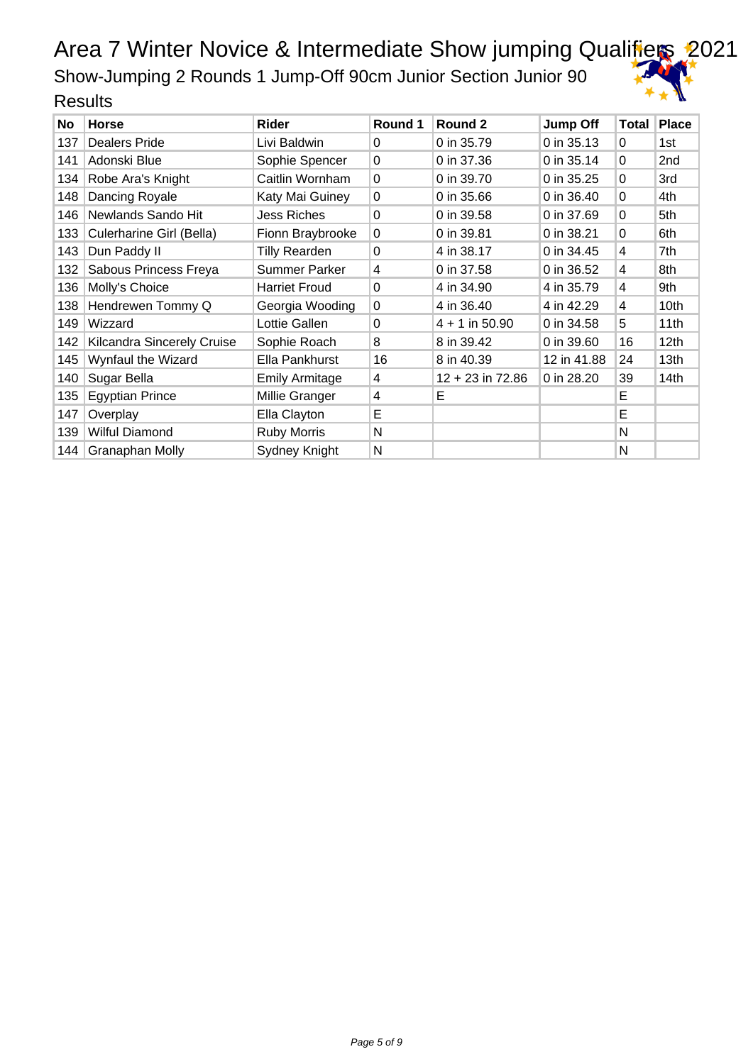Show-Jumping 2 Rounds 1 Jump-Off 90cm Junior Section Junior 90

| <b>No</b> | <b>Horse</b>               | Rider                 | Round 1  | Round 2            | <b>Jump Off</b> | <b>Total</b> | <b>Place</b>    |
|-----------|----------------------------|-----------------------|----------|--------------------|-----------------|--------------|-----------------|
| 137       | <b>Dealers Pride</b>       | Livi Baldwin          | 0        | 0 in 35.79         | 0 in 35.13      | 0            | 1st             |
| 141       | Adonski Blue               | Sophie Spencer        | $\Omega$ | 0 in 37.36         | 0 in 35.14      | $\Omega$     | 2 <sub>nd</sub> |
| 134       | Robe Ara's Knight          | Caitlin Wornham       | $\Omega$ | 0 in 39.70         | 0 in 35.25      | 0            | 3rd             |
| 148       | Dancing Royale             | Katy Mai Guiney       | $\Omega$ | 0 in 35.66         | 0 in 36.40      | 0            | 4th             |
| 146       | Newlands Sando Hit         | <b>Jess Riches</b>    | $\Omega$ | 0 in 39.58         | 0 in 37.69      | 0            | 5th             |
| 133       | Culerharine Girl (Bella)   | Fionn Braybrooke      | $\Omega$ | 0 in 39.81         | 0 in 38.21      | 0            | 6th             |
| 143       | Dun Paddy II               | <b>Tilly Rearden</b>  | 0        | 4 in 38.17         | 0 in 34.45      | 4            | 7th             |
| 132       | Sabous Princess Freya      | Summer Parker         | 4        | 0 in 37.58         | 0 in 36.52      | 4            | 8th             |
| 136       | Molly's Choice             | <b>Harriet Froud</b>  | $\Omega$ | 4 in 34.90         | 4 in 35.79      | 4            | 9th             |
| 138       | Hendrewen Tommy Q          | Georgia Wooding       | $\Omega$ | 4 in 36.40         | 4 in 42.29      | 4            | 10th            |
| 149       | Wizzard                    | Lottie Gallen         | 0        | $4 + 1$ in 50.90   | 0 in 34.58      | 5            | 11th            |
| 142       | Kilcandra Sincerely Cruise | Sophie Roach          | 8        | 8 in 39.42         | 0 in 39.60      | 16           | 12th            |
| 145       | Wynfaul the Wizard         | Ella Pankhurst        | 16       | 8 in 40.39         | 12 in 41.88     | 24           | 13th            |
| 140       | Sugar Bella                | <b>Emily Armitage</b> | 4        | $12 + 23$ in 72.86 | 0 in 28.20      | 39           | 14th            |
| 135       | <b>Egyptian Prince</b>     | Millie Granger        | 4        | Е                  |                 | Е            |                 |
| 147       | Overplay                   | Ella Clayton          | E        |                    |                 | E            |                 |
| 139       | Wilful Diamond             | <b>Ruby Morris</b>    | N        |                    |                 | N            |                 |
| 144       | <b>Granaphan Molly</b>     | Sydney Knight         | N        |                    |                 | N            |                 |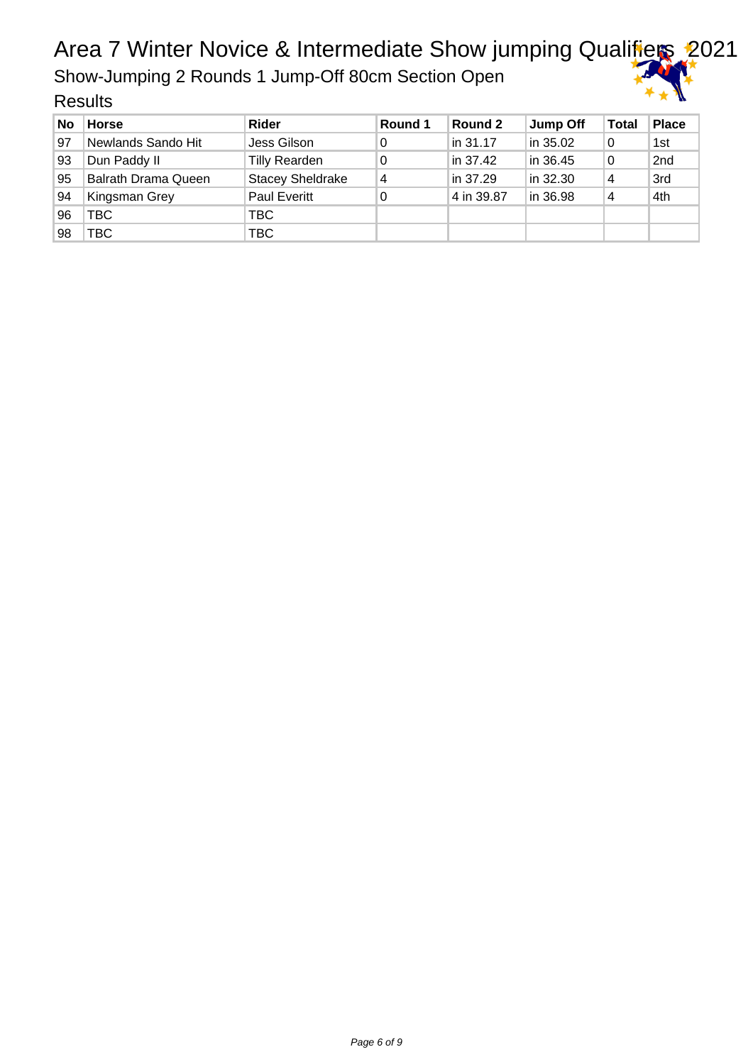Show-Jumping 2 Rounds 1 Jump-Off 80cm Section Open

| No | <b>Horse</b>        | <b>Rider</b>            | Round 1 | Round 2    | Jump Off | <b>Total</b> | <b>Place</b> |
|----|---------------------|-------------------------|---------|------------|----------|--------------|--------------|
| 97 | Newlands Sando Hit  | Jess Gilson             | 0       | in 31.17   | in 35.02 | 0            | 1st          |
| 93 | Dun Paddy II        | Tilly Rearden           | 0       | in 37.42   | in 36.45 | 0            | 2nd          |
| 95 | Balrath Drama Queen | <b>Stacey Sheldrake</b> | 4       | in 37.29   | in 32.30 | 4            | 3rd          |
| 94 | Kingsman Grey       | <b>Paul Everitt</b>     | 0       | 4 in 39.87 | in 36.98 | 4            | 4th          |
| 96 | TBC                 | TBC.                    |         |            |          |              |              |
| 98 | TBC                 | TBC                     |         |            |          |              |              |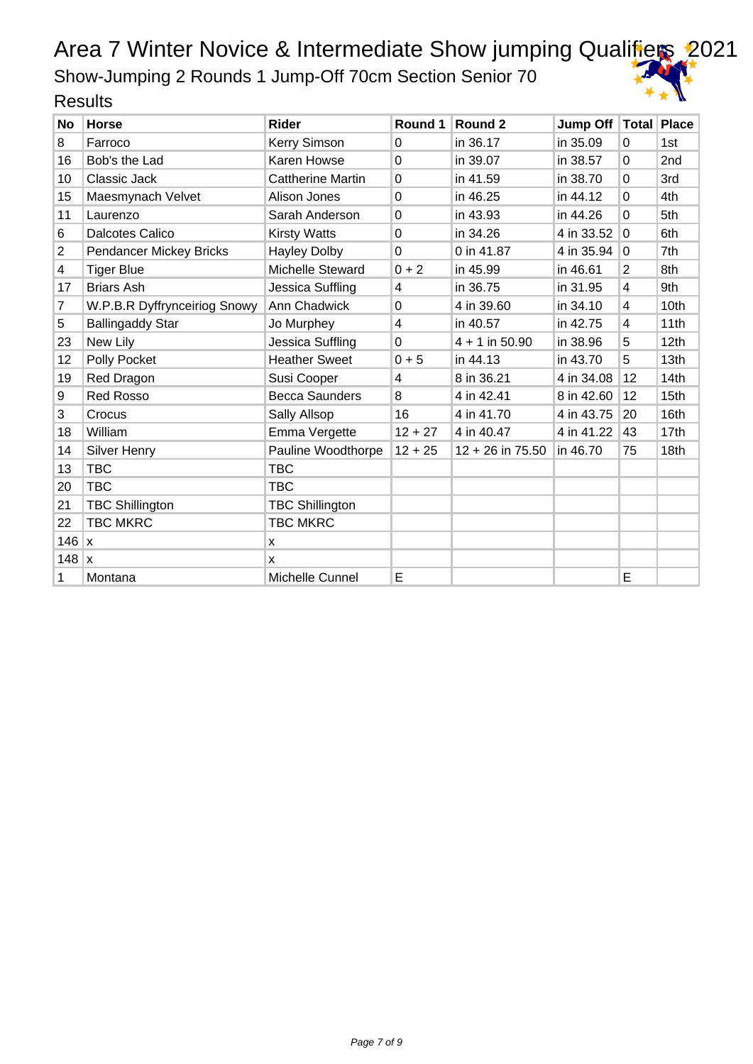Show-Jumping 2 Rounds 1 Jump-Off 70cm Section Senior 70

| <b>No</b>      | <b>Horse</b>                 | <b>Rider</b>             | Round 1        | Round 2            | Jump Off   Total   Place |                |      |
|----------------|------------------------------|--------------------------|----------------|--------------------|--------------------------|----------------|------|
| 8              | Farroco                      | Kerry Simson             | $\Omega$       | in 36.17           | in 35.09                 | 0              | 1st  |
| 16             | Bob's the Lad                | Karen Howse              | $\Omega$       | in 39.07           | in 38.57                 | 0              | 2nd  |
| 10             | Classic Jack                 | <b>Cattherine Martin</b> | $\Omega$       | in 41.59           | in 38.70                 | 0              | 3rd  |
| 15             | Maesmynach Velvet            | Alison Jones             | $\Omega$       | in 46.25           | in 44.12                 | 0              | 4th  |
| 11             | Laurenzo                     | Sarah Anderson           | $\mathbf 0$    | in 43.93           | in 44.26                 | 0              | 5th  |
| 6              | <b>Dalcotes Calico</b>       | <b>Kirsty Watts</b>      | $\mathbf 0$    | in 34.26           | 4 in 33.52               | 0              | 6th  |
| $\overline{2}$ | Pendancer Mickey Bricks      | <b>Hayley Dolby</b>      | $\overline{0}$ | 0 in 41.87         | 4 in 35.94               | 0              | 7th  |
| 4              | <b>Tiger Blue</b>            | Michelle Steward         | $0 + 2$        | in 45.99           | in 46.61                 | $\overline{2}$ | 8th  |
| 17             | <b>Briars Ash</b>            | Jessica Suffling         | $\overline{4}$ | in 36.75           | in 31.95                 | 4              | 9th  |
| 7              | W.P.B.R Dyffrynceiriog Snowy | Ann Chadwick             | $\Omega$       | 4 in 39.60         | in 34.10                 | 4              | 10th |
| 5              | <b>Ballingaddy Star</b>      | Jo Murphey               | 4              | in 40.57           | in 42.75                 | 4              | 11th |
| 23             | New Lily                     | Jessica Suffling         | $\mathbf 0$    | $4 + 1$ in 50.90   | in 38.96                 | 5              | 12th |
| 12             | Polly Pocket                 | <b>Heather Sweet</b>     | $0 + 5$        | in 44.13           | in 43.70                 | 5              | 13th |
| 19             | Red Dragon                   | Susi Cooper              | $\overline{4}$ | 8 in 36.21         | 4 in 34.08               | 12             | 14th |
| 9              | <b>Red Rosso</b>             | <b>Becca Saunders</b>    | 8              | 4 in 42.41         | 8 in 42.60               | 12             | 15th |
| 3              | Crocus                       | Sally Allsop             | 16             | 4 in 41.70         | 4 in 43.75               | 20             | 16th |
| 18             | William                      | Emma Vergette            | $12 + 27$      | 4 in 40.47         | 4 in 41.22               | 43             | 17th |
| 14             | <b>Silver Henry</b>          | Pauline Woodthorpe       | $12 + 25$      | $12 + 26$ in 75.50 | in 46.70                 | 75             | 18th |
| 13             | <b>TBC</b>                   | <b>TBC</b>               |                |                    |                          |                |      |
| 20             | <b>TBC</b>                   | <b>TBC</b>               |                |                    |                          |                |      |
| 21             | <b>TBC Shillington</b>       | <b>TBC Shillington</b>   |                |                    |                          |                |      |
| 22             | <b>TBC MKRC</b>              | <b>TBC MKRC</b>          |                |                    |                          |                |      |
| 146            | ΙX.                          | X                        |                |                    |                          |                |      |
| $148$ x        |                              | X                        |                |                    |                          |                |      |
| 1              | Montana                      | Michelle Cunnel          | E              |                    |                          | E              |      |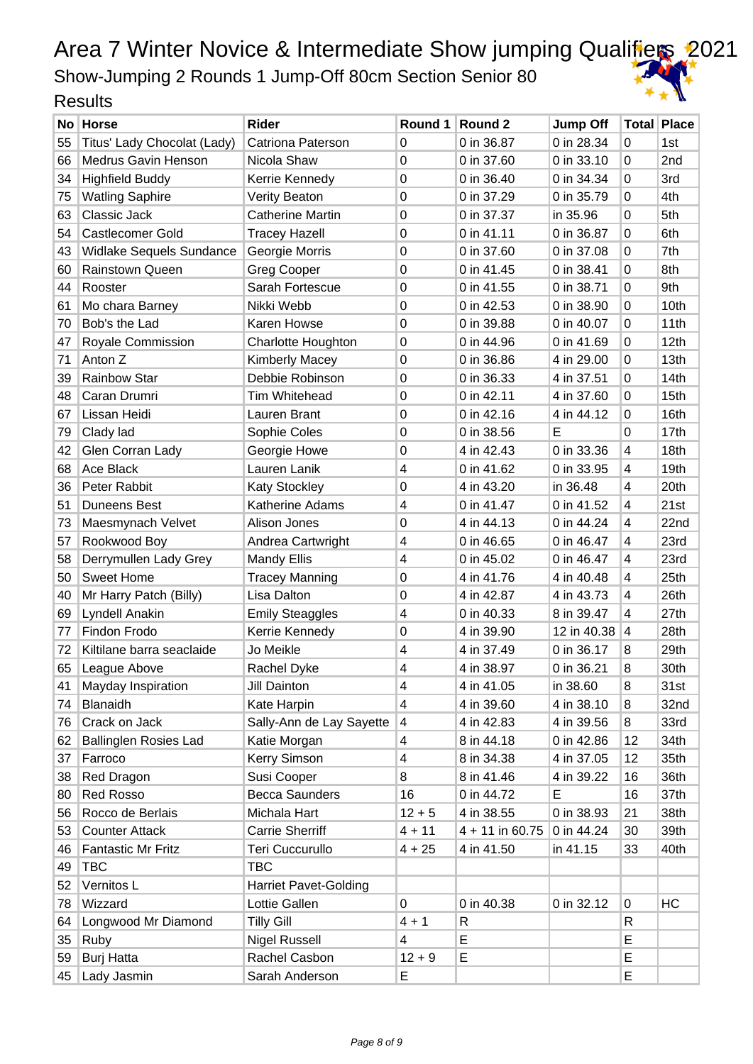Show-Jumping 2 Rounds 1 Jump-Off 80cm Section Senior 80

|    | No Horse                     | Rider                        | Round 1          | Round 2           | <b>Jump Off</b> |    | <b>Total Place</b> |
|----|------------------------------|------------------------------|------------------|-------------------|-----------------|----|--------------------|
| 55 | Titus' Lady Chocolat (Lady)  | Catriona Paterson            | 0                | 0 in 36.87        | 0 in 28.34      | 0  | 1st                |
| 66 | <b>Medrus Gavin Henson</b>   | Nicola Shaw                  | 0                | 0 in 37.60        | 0 in 33.10      | 0  | 2nd                |
| 34 | <b>Highfield Buddy</b>       | Kerrie Kennedy               | $\mathbf 0$      | 0 in 36.40        | 0 in 34.34      | 0  | 3rd                |
| 75 | <b>Watling Saphire</b>       | <b>Verity Beaton</b>         | $\mathbf 0$      | 0 in 37.29        | 0 in 35.79      | 0  | 4th                |
| 63 | Classic Jack                 | <b>Catherine Martin</b>      | 0                | 0 in 37.37        | in 35.96        | 0  | 5th                |
| 54 | <b>Castlecomer Gold</b>      | <b>Tracey Hazell</b>         | $\mathbf 0$      | 0 in 41.11        | 0 in 36.87      | 0  | 6th                |
| 43 | Widlake Sequels Sundance     | Georgie Morris               | $\mathbf 0$      | 0 in 37.60        | 0 in 37.08      | 0  | 7th                |
| 60 | Rainstown Queen              | <b>Greg Cooper</b>           | $\mathbf 0$      | 0 in 41.45        | 0 in 38.41      | 0  | 8th                |
| 44 | Rooster                      | Sarah Fortescue              | $\boldsymbol{0}$ | 0 in 41.55        | 0 in 38.71      | 0  | 9th                |
| 61 | Mo chara Barney              | Nikki Webb                   | 0                | 0 in 42.53        | 0 in 38.90      | 0  | 10th               |
| 70 | Bob's the Lad                | Karen Howse                  | $\mathbf 0$      | 0 in 39.88        | 0 in 40.07      | 0  | 11th               |
| 47 | Royale Commission            | <b>Charlotte Houghton</b>    | 0                | 0 in 44.96        | 0 in 41.69      | 0  | 12th               |
| 71 | Anton Z                      | <b>Kimberly Macey</b>        | $\mathbf 0$      | 0 in 36.86        | 4 in 29.00      | 0  | 13th               |
| 39 | <b>Rainbow Star</b>          | Debbie Robinson              | $\boldsymbol{0}$ | 0 in 36.33        | 4 in 37.51      | 0  | 14th               |
| 48 | Caran Drumri                 | Tim Whitehead                | 0                | 0 in 42.11        | 4 in 37.60      | 0  | 15th               |
| 67 | Lissan Heidi                 | Lauren Brant                 | $\mathbf 0$      | 0 in 42.16        | 4 in 44.12      | 0  | 16th               |
| 79 | Clady lad                    | Sophie Coles                 | $\mathbf 0$      | 0 in 38.56        | Е               | 0  | 17th               |
| 42 | Glen Corran Lady             | Georgie Howe                 | 0                | 4 in 42.43        | 0 in 33.36      | 4  | 18th               |
| 68 | Ace Black                    | Lauren Lanik                 | 4                | 0 in 41.62        | 0 in 33.95      | 4  | 19th               |
| 36 | Peter Rabbit                 | <b>Katy Stockley</b>         | 0                | 4 in 43.20        | in 36.48        | 4  | 20th               |
| 51 | <b>Duneens Best</b>          | Katherine Adams              | 4                | 0 in 41.47        | 0 in 41.52      | 4  | 21st               |
| 73 | Maesmynach Velvet            | Alison Jones                 | $\mathbf 0$      | 4 in 44.13        | 0 in 44.24      | 4  | 22nd               |
| 57 | Rookwood Boy                 | Andrea Cartwright            | 4                | 0 in 46.65        | 0 in 46.47      | 4  | 23rd               |
| 58 | Derrymullen Lady Grey        | <b>Mandy Ellis</b>           | 4                | 0 in 45.02        | 0 in 46.47      | 4  | 23rd               |
| 50 | <b>Sweet Home</b>            | <b>Tracey Manning</b>        | 0                | 4 in 41.76        | 4 in 40.48      | 4  | 25th               |
| 40 | Mr Harry Patch (Billy)       | Lisa Dalton                  | 0                | 4 in 42.87        | 4 in 43.73      | 4  | 26th               |
| 69 | Lyndell Anakin               | <b>Emily Steaggles</b>       | 4                | 0 in 40.33        | 8 in 39.47      | 4  | 27th               |
| 77 | Findon Frodo                 | Kerrie Kennedy               | 0                | 4 in 39.90        | 12 in 40.38     | 4  | 28th               |
| 72 | Kiltilane barra seaclaide    | Jo Meikle                    | 4                | 4 in 37.49        | 0 in 36.17      | 8  | 29th               |
| 65 | League Above                 | Rachel Dyke                  | 4                | 4 in 38.97        | 0 in 36.21      | 8  | 30th               |
| 41 | Mayday Inspiration           | Jill Dainton                 | 4                | 4 in 41.05        | in 38.60        | 8  | 31st               |
| 74 | Blanaidh                     | Kate Harpin                  | 4                | 4 in 39.60        | 4 in 38.10      | 8  | 32nd               |
| 76 | Crack on Jack                | Sally-Ann de Lay Sayette     | 4                | 4 in 42.83        | 4 in 39.56      | 8  | 33rd               |
| 62 | <b>Ballinglen Rosies Lad</b> | Katie Morgan                 | 4                | 8 in 44.18        | 0 in 42.86      | 12 | 34th               |
| 37 | Farroco                      | Kerry Simson                 | 4                | 8 in 34.38        | 4 in 37.05      | 12 | 35th               |
| 38 | Red Dragon                   | Susi Cooper                  | 8                | 8 in 41.46        | 4 in 39.22      | 16 | 36th               |
| 80 | <b>Red Rosso</b>             | <b>Becca Saunders</b>        | 16               | 0 in 44.72        | E               | 16 | 37th               |
| 56 | Rocco de Berlais             | Michala Hart                 | $12 + 5$         | 4 in 38.55        | 0 in 38.93      | 21 | 38th               |
| 53 | <b>Counter Attack</b>        | <b>Carrie Sherriff</b>       | $4 + 11$         | $4 + 11$ in 60.75 | 0 in 44.24      | 30 | 39th               |
| 46 | <b>Fantastic Mr Fritz</b>    | <b>Teri Cuccurullo</b>       | $4 + 25$         | 4 in 41.50        | in 41.15        | 33 | 40th               |
| 49 | <b>TBC</b>                   | <b>TBC</b>                   |                  |                   |                 |    |                    |
| 52 | Vernitos L                   | <b>Harriet Pavet-Golding</b> |                  |                   |                 |    |                    |
| 78 | Wizzard                      | Lottie Gallen                | 0                | 0 in 40.38        | 0 in 32.12      | 0  | HC                 |
| 64 | Longwood Mr Diamond          | <b>Tilly Gill</b>            | $4 + 1$          | R                 |                 | R  |                    |
| 35 | Ruby                         | <b>Nigel Russell</b>         | 4                | E                 |                 | E  |                    |
| 59 | <b>Burj Hatta</b>            | Rachel Casbon                | $12 + 9$         | Е                 |                 | E  |                    |
|    | 45   Lady Jasmin             | Sarah Anderson               | E                |                   |                 | E  |                    |